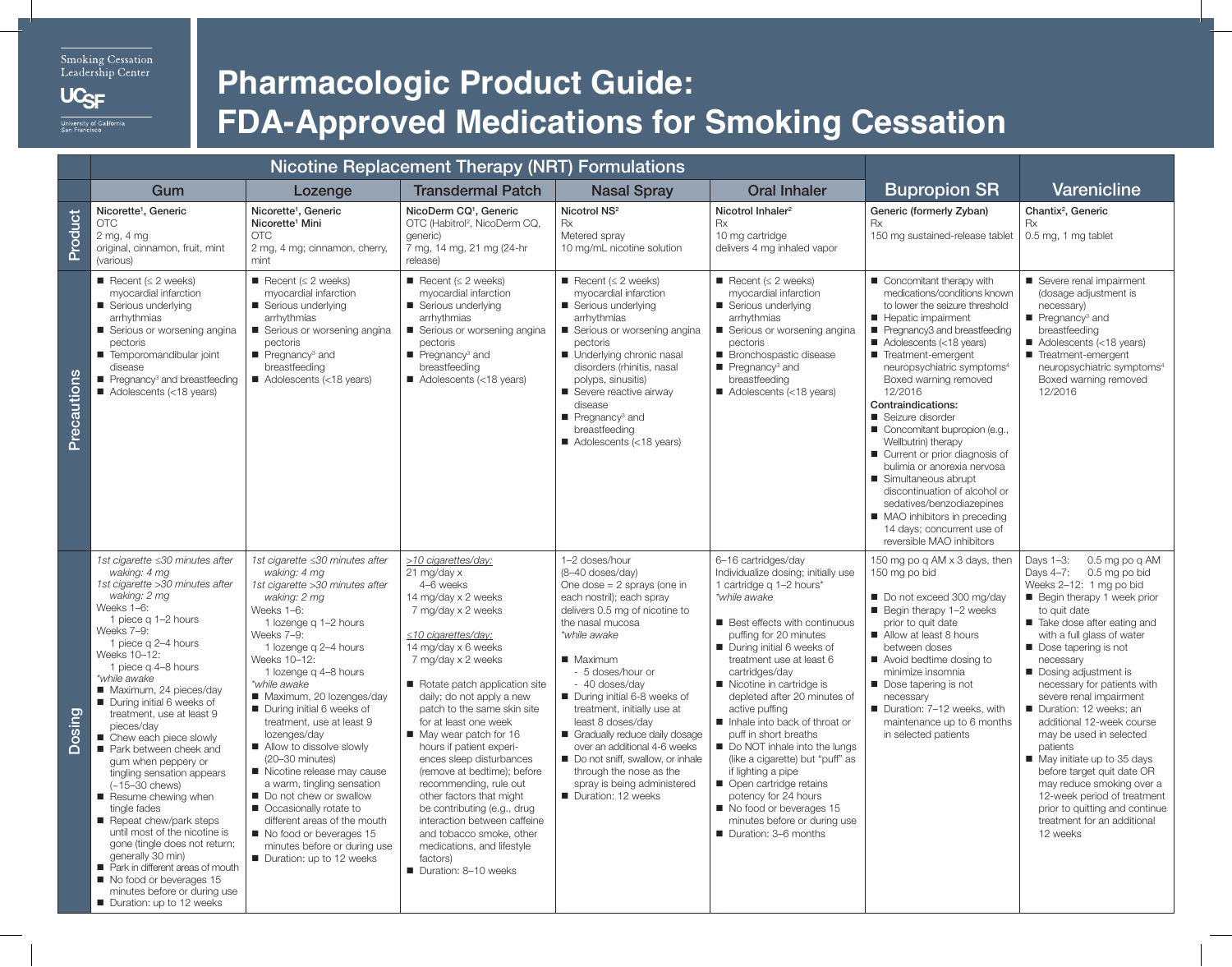Smoking Cessation Leadership Center

UC<sub>SF</sub>

## **Pharmacologic Product Guide: FDA-Approved Medications for Smoking Cessation**

|               |                                                                                                                                                                                                                                                                                                                                                                                                                                                                                                                                                                                                                                                                                                                                                                    | <b>Nicotine Replacement Therapy (NRT) Formulations</b>                                                                                                                                                                                                                                                                                                                                                                                                                                                                                                                                                                                |                                                                                                                                                                                                                                                                                                                                                                                                                                                                                                                                                                                                                                 |                                                                                                                                                                                                                                                                                                                                                                                                                                                                                                    |                                                                                                                                                                                                                                                                                                                                                                                                                                                                                                                                                                                                                           |                                                                                                                                                                                                                                                                                                                                                                                                                                                                                                                                                                                                                                   |                                                                                                                                                                                                                                                                                                                                                                                                                                                                                                                                                                                                                          |
|---------------|--------------------------------------------------------------------------------------------------------------------------------------------------------------------------------------------------------------------------------------------------------------------------------------------------------------------------------------------------------------------------------------------------------------------------------------------------------------------------------------------------------------------------------------------------------------------------------------------------------------------------------------------------------------------------------------------------------------------------------------------------------------------|---------------------------------------------------------------------------------------------------------------------------------------------------------------------------------------------------------------------------------------------------------------------------------------------------------------------------------------------------------------------------------------------------------------------------------------------------------------------------------------------------------------------------------------------------------------------------------------------------------------------------------------|---------------------------------------------------------------------------------------------------------------------------------------------------------------------------------------------------------------------------------------------------------------------------------------------------------------------------------------------------------------------------------------------------------------------------------------------------------------------------------------------------------------------------------------------------------------------------------------------------------------------------------|----------------------------------------------------------------------------------------------------------------------------------------------------------------------------------------------------------------------------------------------------------------------------------------------------------------------------------------------------------------------------------------------------------------------------------------------------------------------------------------------------|---------------------------------------------------------------------------------------------------------------------------------------------------------------------------------------------------------------------------------------------------------------------------------------------------------------------------------------------------------------------------------------------------------------------------------------------------------------------------------------------------------------------------------------------------------------------------------------------------------------------------|-----------------------------------------------------------------------------------------------------------------------------------------------------------------------------------------------------------------------------------------------------------------------------------------------------------------------------------------------------------------------------------------------------------------------------------------------------------------------------------------------------------------------------------------------------------------------------------------------------------------------------------|--------------------------------------------------------------------------------------------------------------------------------------------------------------------------------------------------------------------------------------------------------------------------------------------------------------------------------------------------------------------------------------------------------------------------------------------------------------------------------------------------------------------------------------------------------------------------------------------------------------------------|
|               | Gum                                                                                                                                                                                                                                                                                                                                                                                                                                                                                                                                                                                                                                                                                                                                                                | Lozenge                                                                                                                                                                                                                                                                                                                                                                                                                                                                                                                                                                                                                               | <b>Transdermal Patch</b>                                                                                                                                                                                                                                                                                                                                                                                                                                                                                                                                                                                                        | <b>Nasal Spray</b>                                                                                                                                                                                                                                                                                                                                                                                                                                                                                 | <b>Oral Inhaler</b>                                                                                                                                                                                                                                                                                                                                                                                                                                                                                                                                                                                                       | <b>Bupropion SR</b>                                                                                                                                                                                                                                                                                                                                                                                                                                                                                                                                                                                                               | Varenicline                                                                                                                                                                                                                                                                                                                                                                                                                                                                                                                                                                                                              |
| Product       | Nicorette <sup>1</sup> , Generic<br><b>OTC</b><br>2 mg, 4 mg<br>original, cinnamon, fruit, mint<br>(various)                                                                                                                                                                                                                                                                                                                                                                                                                                                                                                                                                                                                                                                       | Nicorette <sup>1</sup> , Generic<br>Nicorette <sup>1</sup> Mini<br><b>OTC</b><br>2 mg, 4 mg; cinnamon, cherry,<br>mint                                                                                                                                                                                                                                                                                                                                                                                                                                                                                                                | NicoDerm CQ <sup>1</sup> , Generic<br>OTC (Habitrol <sup>2</sup> , NicoDerm CQ,<br>qeneric)<br>7 mg, 14 mg, 21 mg (24-hr<br>release)                                                                                                                                                                                                                                                                                                                                                                                                                                                                                            | Nicotrol NS <sup>2</sup><br>Rx<br>Metered spray<br>10 mg/mL nicotine solution                                                                                                                                                                                                                                                                                                                                                                                                                      | Nicotrol Inhaler <sup>2</sup><br>Rx<br>10 mg cartridge<br>delivers 4 mg inhaled vapor                                                                                                                                                                                                                                                                                                                                                                                                                                                                                                                                     | Generic (formerly Zyban)<br>Rx<br>150 mg sustained-release tablet                                                                                                                                                                                                                                                                                                                                                                                                                                                                                                                                                                 | Chantix <sup>2</sup> , Generic<br><b>Rx</b><br>0.5 mg, 1 mg tablet                                                                                                                                                                                                                                                                                                                                                                                                                                                                                                                                                       |
| Precautions   | Recent ( $\leq$ 2 weeks)<br>myocardial infarction<br>Serious underlying<br>arrhythmias<br>■ Serious or worsening angina<br>pectoris<br>Temporomandibular joint<br>disease<br>$\blacksquare$ Pregnancy <sup>3</sup> and breastfeeding<br>Adolescents (<18 years)                                                                                                                                                                                                                                                                                                                                                                                                                                                                                                    | Recent ( $\leq$ 2 weeks)<br>myocardial infarction<br>Serious underlying<br>arrhythmias<br>Serious or worsening angina<br>pectoris<br>$\blacksquare$ Pregnancy <sup>3</sup> and<br>breastfeeding<br>$\blacksquare$ Adolescents (<18 years)                                                                                                                                                                                                                                                                                                                                                                                             | Recent ( $\leq$ 2 weeks)<br>myocardial infarction<br>Serious underlying<br>arrhythmias<br>Serious or worsening angina<br>pectoris<br>$\blacksquare$ Pregnancy <sup>3</sup> and<br>breastfeeding<br>$\blacksquare$ Adolescents (<18 years)                                                                                                                                                                                                                                                                                                                                                                                       | Recent ( $\leq$ 2 weeks)<br>myocardial infarction<br>Serious underlying<br>arrhythmias<br>Serious or worsening angina<br>pectoris<br>Underlying chronic nasal<br>disorders (rhinitis, nasal<br>polyps, sinusitis)<br>Severe reactive airway<br>disease<br>$\blacksquare$ Pregnancy <sup>3</sup> and<br>breastfeeding<br>$\blacksquare$ Adolescents (<18 years)                                                                                                                                     | Recent ( $\leq$ 2 weeks)<br>myocardial infarction<br>Serious underlying<br>arrhythmias<br>Serious or worsening angina<br>pectoris<br>■ Bronchospastic disease<br>$\blacksquare$ Pregnancy <sup>3</sup> and<br>breastfeeding<br>Adolescents (<18 years)                                                                                                                                                                                                                                                                                                                                                                    | Concomitant therapy with<br>medications/conditions known<br>to lower the seizure threshold<br>Hepatic impairment<br>Pregnancy3 and breastfeeding<br>Adolescents (<18 years)<br>Treatment-emergent<br>neuropsychiatric symptoms <sup>4</sup><br>Boxed warning removed<br>12/2016<br>Contraindications:<br>Seizure disorder<br>Concomitant bupropion (e.g.,<br>Wellbutrin) therapy<br>Current or prior diagnosis of<br>bulimia or anorexia nervosa<br>Simultaneous abrupt<br>discontinuation of alcohol or<br>sedatives/benzodiazepines<br>■ MAO inhibitors in preceding<br>14 days; concurrent use of<br>reversible MAO inhibitors | Severe renal impairment<br>(dosage adjustment is<br>necessary)<br>$\blacksquare$ Pregnancy <sup>3</sup> and<br>breastfeeding<br>Adolescents (<18 years)<br>Treatment-emergent<br>neuropsychiatric symptoms <sup>4</sup><br>Boxed warning removed<br>12/2016                                                                                                                                                                                                                                                                                                                                                              |
| <b>Dosing</b> | 1st cigarette ≤30 minutes after<br>waking: 4 mg<br>1st cigarette > 30 minutes after<br>waking: 2 mg<br>Weeks 1-6:<br>1 piece q 1-2 hours<br>Weeks 7-9:<br>1 piece q 2-4 hours<br>Weeks 10-12:<br>1 piece g 4-8 hours<br>*while awake<br>Maximum, 24 pieces/day<br>During initial 6 weeks of<br>treatment, use at least 9<br>pieces/day<br>■ Chew each piece slowly<br>Park between cheek and<br>gum when peppery or<br>tingling sensation appears<br>$(-15 - 30 \text{ chews})$<br>Resume chewing when<br>tingle fades<br>Repeat chew/park steps<br>until most of the nicotine is<br>gone (tingle does not return;<br>generally 30 min)<br>Park in different areas of mouth<br>No food or beverages 15<br>minutes before or during use<br>Duration: up to 12 weeks | 1st cigarette ≤30 minutes after<br>waking: 4 mg<br>1st cigarette >30 minutes after<br>waking: 2 mg<br>Weeks 1-6:<br>1 lozenge q 1-2 hours<br>Weeks 7-9:<br>1 lozenge q 2-4 hours<br>Weeks 10-12:<br>1 lozenge g 4-8 hours<br>*while awake<br>Maximum, 20 lozenges/day<br>During initial 6 weeks of<br>treatment, use at least 9<br>lozenges/day<br>Allow to dissolve slowly<br>(20-30 minutes)<br>Nicotine release may cause<br>a warm, tingling sensation<br>Do not chew or swallow<br>Occasionally rotate to<br>different areas of the mouth<br>No food or beverages 15<br>minutes before or during use<br>Duration: up to 12 weeks | >10 cigarettes/day:<br>21 mg/day x<br>4-6 weeks<br>14 mg/day x 2 weeks<br>7 mg/day x 2 weeks<br>$\leq$ 10 cigarettes/day:<br>14 mg/day x 6 weeks<br>7 mg/day x 2 weeks<br>Rotate patch application site<br>daily; do not apply a new<br>patch to the same skin site<br>for at least one week<br>May wear patch for 16<br>hours if patient experi-<br>ences sleep disturbances<br>(remove at bedtime); before<br>recommending, rule out<br>other factors that might<br>be contributing (e.g., drug<br>interaction between caffeine<br>and tobacco smoke, other<br>medications, and lifestyle<br>factors)<br>Duration: 8-10 weeks | 1-2 doses/hour<br>(8-40 doses/day)<br>One dose $= 2$ sprays (one in<br>each nostril); each spray<br>delivers 0.5 mg of nicotine to<br>the nasal mucosa<br>*while awake<br>■ Maximum<br>- 5 doses/hour or<br>- 40 doses/day<br>During initial 6-8 weeks of<br>treatment, initially use at<br>least 8 doses/day<br>Gradually reduce daily dosage<br>over an additional 4-6 weeks<br>Do not sniff, swallow, or inhale<br>through the nose as the<br>spray is being administered<br>Duration: 12 weeks | 6-16 cartridges/day<br>Individualize dosing; initially use<br>1 cartridge g 1-2 hours*<br>*while awake<br><b>Best effects with continuous</b><br>puffing for 20 minutes<br>During initial 6 weeks of<br>treatment use at least 6<br>cartridges/day<br>Nicotine in cartridge is<br>depleted after 20 minutes of<br>active puffing<br>Inhale into back of throat or<br>puff in short breaths<br>Do NOT inhale into the lungs<br>(like a cigarette) but "puff" as<br>if lighting a pipe<br>Open cartridge retains<br>potency for 24 hours<br>No food or beverages 15<br>minutes before or during use<br>Duration: 3-6 months | 150 mg po g AM x 3 days, then<br>150 mg po bid<br>Do not exceed 300 mg/day<br>$\blacksquare$ Begin therapy 1-2 weeks<br>prior to quit date<br>Allow at least 8 hours<br>between doses<br>Avoid bedtime dosing to<br>minimize insomnia<br>Dose tapering is not<br>necessary<br>Duration: 7-12 weeks, with<br>maintenance up to 6 months<br>in selected patients                                                                                                                                                                                                                                                                    | Days 1-3:<br>0.5 mg po g AM<br>0.5 mg po bid<br>Days 4-7:<br>Weeks 2-12: 1 mg po bid<br>Begin therapy 1 week prior<br>to quit date<br>Take dose after eating and<br>with a full glass of water<br>Dose tapering is not<br>necessary<br>Dosing adjustment is<br>necessary for patients with<br>severe renal impairment<br>Duration: 12 weeks; an<br>additional 12-week course<br>may be used in selected<br>patients<br>May initiate up to 35 days<br>before target quit date OR<br>may reduce smoking over a<br>12-week period of treatment<br>prior to quitting and continue<br>treatment for an additional<br>12 weeks |